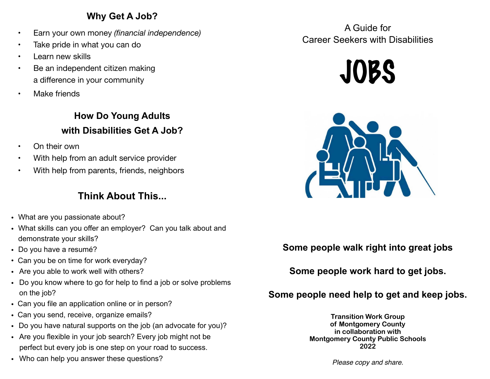### **Why Get A Job?**

- Earn your own money *(financial independence)*
- Take pride in what you can do
- Learn new skills
- Be an independent citizen making a difference in your community
- **Make friends**

**How Do Young Adults with Disabilities Get A Job?** 

- On their own
- With help from an adult service provider
- With help from parents, friends, neighbors

# **Think About This...**

- What are you passionate about?
- What skills can you offer an employer? Can you talk about and demonstrate your skills?
- Do you have a resumé?
- Can you be on time for work everyday?
- Are you able to work well with others?
- Do you know where to go for help to find a job or solve problems on the job?
- Can you file an application online or in person?
- Can you send, receive, organize emails?
- Do you have natural supports on the job (an advocate for you)?
- Are you flexible in your job search? Every job might not be perfect but every job is one step on your road to success.
- Who can help you answer these questions?

A Guide for Career Seekers with Disabilities





### **Some people walk right into great jobs**

**Some people work hard to get jobs.**

## **Some people need help to get and keep jobs.**

**Transition Work Group of Montgomery County in collaboration with Montgomery County Public Schools 2022**

*Please copy and share.*